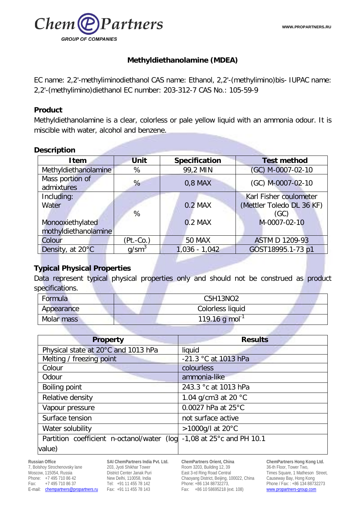

## **Methyldiethanolamine (MDEA)**

EC name: 2,2'-methyliminodiethanol CAS name: Ethanol, 2,2'-(methylimino)bis- IUPAC name: 2,2'-(methylimino)diethanol EC number: 203-312-7 CAS No.: 105-59-9

#### **Product**

Methyldiethanolamine is a clear, colorless or pale yellow liquid with an ammonia odour. It is miscible with water, alcohol and benzene.

#### **Description**

| <b>Item</b>                   | <b>Unit</b>     | Specification   | <b>Test method</b>        |
|-------------------------------|-----------------|-----------------|---------------------------|
| Methyldiethanolamine          | %               | 99,2 MIN        | (GC) M-0007-02-10         |
| Mass portion of<br>admixtures | %               | $0,8$ MAX       | (GC) M-0007-02-10         |
| Including:                    |                 |                 | Karl Fisher coulometer    |
| Water                         |                 | $0.2$ MAX       | (Mettler Toledo DL 36 KF) |
|                               | %               |                 | (GC)                      |
| Monooxiethylated              |                 | 0.2 MAX         | M-0007-02-10              |
| mothyldiethanolamine          |                 |                 |                           |
| Colour                        | (Pt.-Co.)       | <b>50 MAX</b>   | <b>ASTM D 1209-93</b>     |
| Density, at 20°C              | $q/\text{sm}^3$ | $1,036 - 1,042$ | GOST18995.1-73 p1         |

### **Typical Physical Properties**

Data represent typical physical properties only and should not be construed as product specifications.

| Formula    | C5H13NO2                     |  |
|------------|------------------------------|--|
| Appearance | Colorless liquid             |  |
| Molar mass | $119.16$ g mol <sup>-1</sup> |  |

| <b>Property</b>                            | <b>Results</b>                         |
|--------------------------------------------|----------------------------------------|
| Physical state at 20°C and 1013 hPa        | liquid                                 |
| Melting / freezing point                   | -21.3 °C at 1013 hPa                   |
| Colour                                     | colourless                             |
| Odour                                      | ammonia-like                           |
| <b>Boiling point</b>                       | 243.3 °c at 1013 hPa                   |
| Relative density                           | 1.04 g/cm3 at 20 $^{\circ}$ C          |
| Vapour pressure                            | 0.0027 hPa at 25°C                     |
| Surface tension                            | not surface active                     |
| Water solubility                           | >1000g/l at 20°C                       |
| Partition coefficient n-octanol/water (log | $-1,08$ at 25 $^{\circ}$ c and PH 10.1 |
| value)                                     |                                        |

**Russian Office** 7, Bolshoy Strochenovsky lane Moscow, 115054, Russia Phone: +7 495 710 86 42<br>Fax: +7 495 710 86 37 Fax: +7 495 710 86 37 E-mail: [chempartners@propartners.ru](mailto:chempartners@propartners.ru)

**SAI ChemPartners India Pvt. Ltd.** 203, Jyoti Shikhar Tower District Center Janak Puri New Delhi, 110058, India Tel: +91 11 455 78 142 Fax: +91 11 455 78 143

**ChemPartners Orient, China** Room 3203, Building 12, 39 East 3-rd Ring Road Central Chaoyang District, Beijing, 100022, China Phone: +86 134 88732273, Fax: +86 10 58695218 (ext. 108)

**ChemPartners Hong Kong Ltd.** 36-th Floor, Tower Two, Times Square, 1 Matheson Street, Causeway Bay, Hong Kong Phone / Fax: : +86 134 88732273 [www.propartners-group.com](http://www.propartners-group.com/)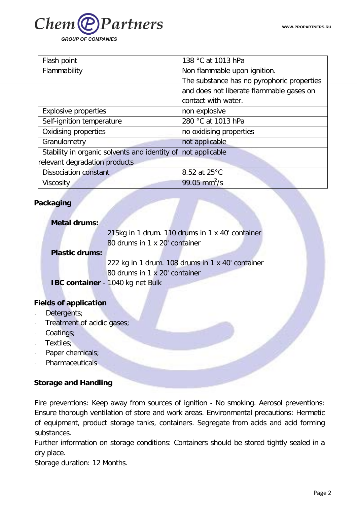

| Flash point                                   | 138 °C at 1013 hPa                         |
|-----------------------------------------------|--------------------------------------------|
| Flammability                                  | Non flammable upon ignition.               |
|                                               | The substance has no pyrophoric properties |
|                                               | and does not liberate flammable gases on   |
|                                               | contact with water.                        |
| <b>Explosive properties</b>                   | non explosive                              |
| Self-ignition temperature                     | 280 °C at 1013 hPa                         |
| Oxidising properties                          | no oxidising properties                    |
| Granulometry                                  | not applicable                             |
| Stability in organic solvents and identity of | not applicable                             |
| relevant degradation products                 |                                            |
| <b>Dissociation constant</b>                  | 8.52 at 25°C                               |
| Viscosity                                     | $99.05$ mm <sup>2</sup> /s                 |

# **Packaging**

| <b>Metal drums:</b>                    |                                                  |
|----------------------------------------|--------------------------------------------------|
|                                        | 215kg in 1 drum. 110 drums in 1 x 40' container  |
|                                        | 80 drums in 1 x 20' container                    |
| <b>Plastic drums:</b>                  |                                                  |
|                                        | 222 kg in 1 drum. 108 drums in 1 x 40' container |
|                                        | 80 drums in 1 x 20' container                    |
|                                        | IBC container - 1040 kg net Bulk                 |
|                                        |                                                  |
| <b>Fields of application</b>           |                                                  |
| Detergents;                            |                                                  |
| Treatment of acidic gases;<br>$\omega$ |                                                  |
| Coatings;                              |                                                  |
|                                        |                                                  |

- Textiles;
- Paper chemicals;
- Pharmaceuticals

### **Storage and Handling**

Fire preventions: Keep away from sources of ignition - No smoking. Aerosol preventions: Ensure thorough ventilation of store and work areas. Environmental precautions: Hermetic of equipment, product storage tanks, containers. Segregate from acids and acid forming substances.

Further information on storage conditions: Containers should be stored tightly sealed in a dry place.

Storage duration: 12 Months.